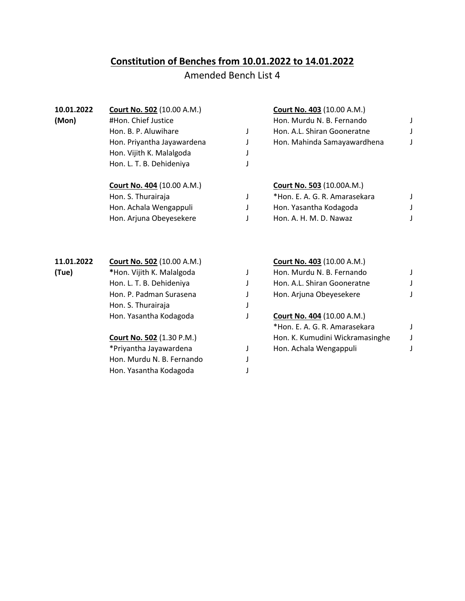## **Constitution of Benches from 10.01.2022 to 14.01.2022**

## Amended Bench List 4

| 10.01.2022<br>(Mon) | <b>Court No. 502</b> (10.00 A.M.)<br>#Hon. Chief Justice |   | <b>Court No. 403 (10.00 A.M.)</b><br>Hon. Murdu N. B. Fernando |  |
|---------------------|----------------------------------------------------------|---|----------------------------------------------------------------|--|
|                     | Hon. B. P. Aluwihare                                     | J | Hon. A.L. Shiran Gooneratne                                    |  |
|                     | Hon. Priyantha Jayawardena                               |   | Hon. Mahinda Samayawardhena                                    |  |
|                     | Hon. Vijith K. Malalgoda                                 |   |                                                                |  |
|                     | Hon. L. T. B. Dehideniya                                 |   |                                                                |  |
|                     |                                                          |   |                                                                |  |
|                     | <b>Court No. 404 (10.00 A.M.)</b>                        |   | <b>Court No. 503 (10.00A.M.)</b>                               |  |
|                     | Hon. S. Thurairaja                                       |   | *Hon. E. A. G. R. Amarasekara                                  |  |
|                     | Hon. Achala Wengappuli                                   |   | Hon. Yasantha Kodagoda                                         |  |
|                     | Hon. Arjuna Obeyesekere                                  |   | Hon. A. H. M. D. Nawaz                                         |  |
|                     |                                                          |   |                                                                |  |
| 11.01.2022          | <b>Court No. 502 (10.00 A.M.)</b>                        |   | Court No. 403 (10.00 A.M.)                                     |  |
| (Tue)               | *Hon. Vijith K. Malalgoda                                | J | Hon. Murdu N. B. Fernando                                      |  |
|                     | Hon. L. T. B. Dehideniya                                 |   | Hon. A.L. Shiran Gooneratne                                    |  |
|                     | Hon. P. Padman Surasena                                  |   | Hon. Arjuna Obeyesekere                                        |  |
|                     | Hon. S. Thurairaja                                       |   |                                                                |  |
|                     | Hon. Yasantha Kodagoda                                   |   | <b>Court No. 404 (10.00 A.M.)</b>                              |  |
|                     |                                                          |   | *Hon. E. A. G. R. Amarasekara                                  |  |
|                     | <b>Court No. 502 (1.30 P.M.)</b>                         |   | Hon. K. Kumudini Wickramasinghe                                |  |
|                     | *Priyantha Jayawardena                                   | J | Hon. Achala Wengappuli                                         |  |
|                     | Hon. Murdu N. B. Fernando                                |   |                                                                |  |
|                     | Hon. Yasantha Kodagoda                                   |   |                                                                |  |
|                     |                                                          |   |                                                                |  |